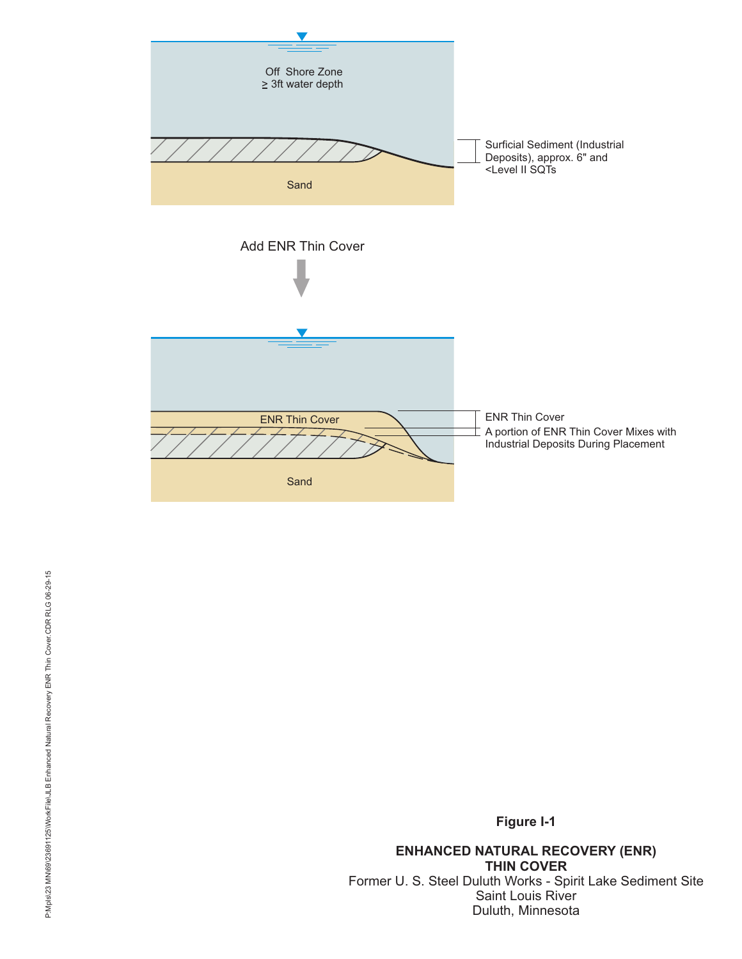

**Figure I-1**

**ENHANCED NATURAL RECOVERY (ENR) THIN COVER** Former U. S. Steel Duluth Works - Spirit Lake Sediment Site Saint Louis River Duluth, Minnesota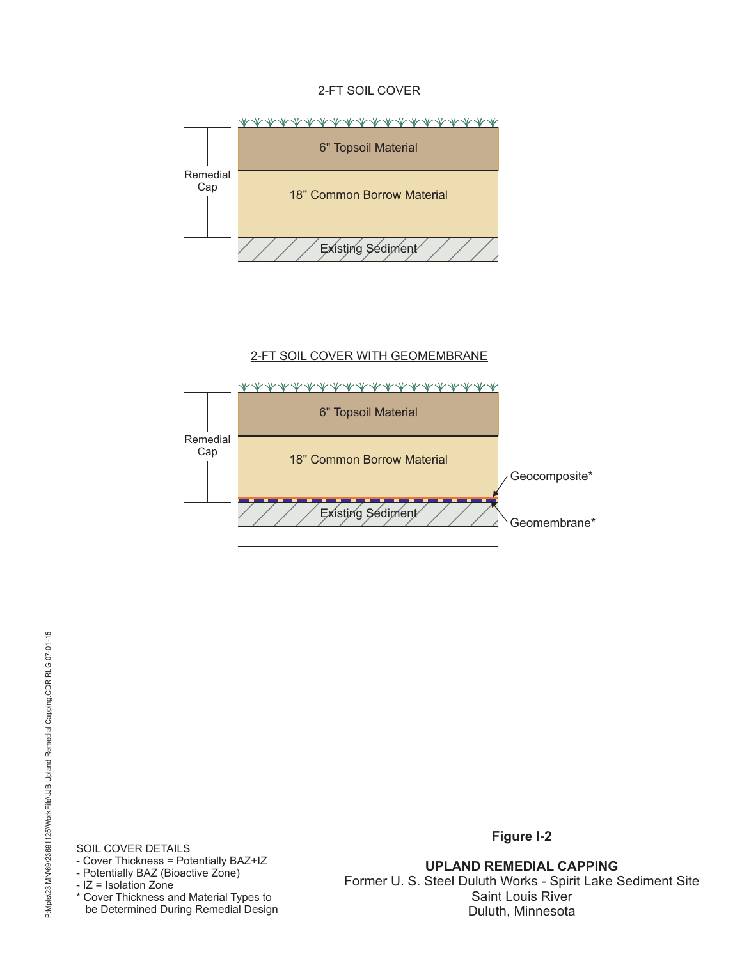### 2-FT SOIL COVER



## 2-FT SOIL COVER WITH GEOMEMBRANE



<u>SOIL COVER DETAILS</u>

- Cover Thickness = Potentially BAZ+IZ

- Potentially BAZ (Bioactive Zone)

- IZ = Isolation Zone

\* Cover Thickness and Material Types to be Determined During Remedial Design **Figure I-2**

**UPLAND REMEDIAL CAPPING** Former U. S. Steel Duluth Works - Spirit Lake Sediment Site Saint Louis River Duluth, Minnesota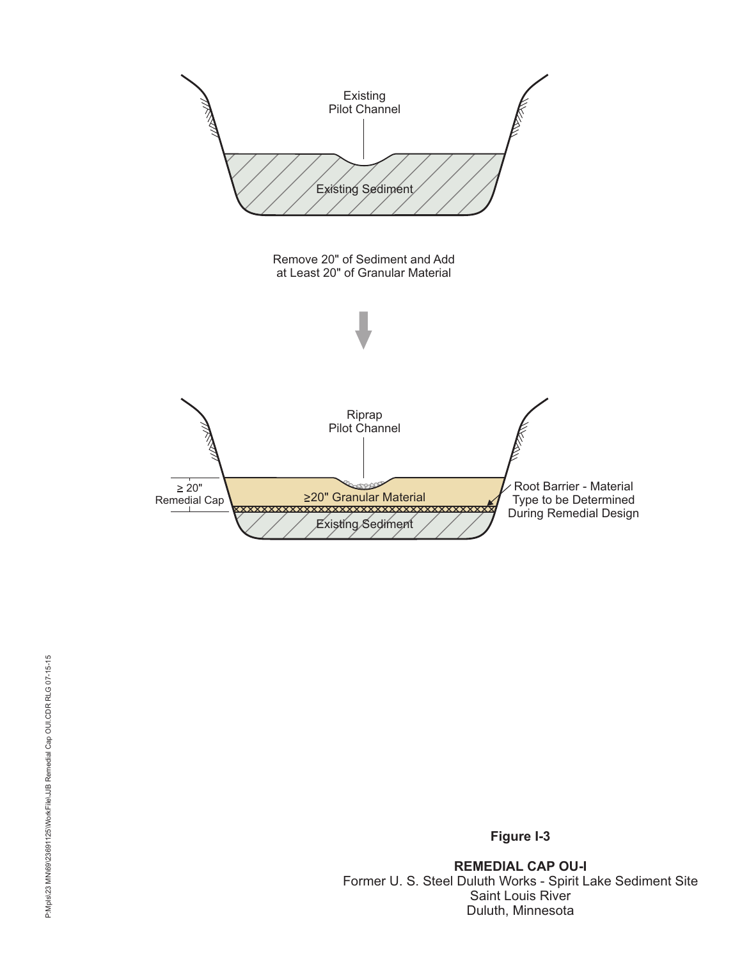

**Figure I-3**

**REMEDIAL CAP OU-I** Former U. S. Steel Duluth Works - Spirit Lake Sediment Site Saint Louis River Duluth, Minnesota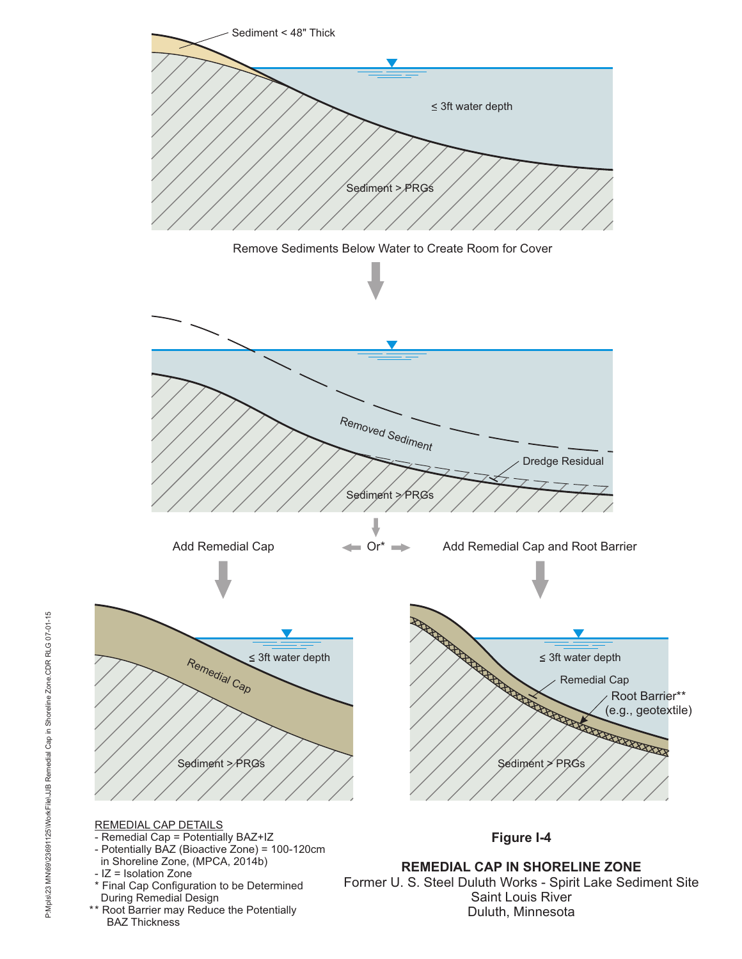

- \* Final Cap Configuration to be Determined During Remedial Design
- \*\* Root Barrier may Reduce the Potentially BAZ Thickness

Former U. S. Steel Duluth Works - Spirit Lake Sediment Site Saint Louis River Duluth, Minnesota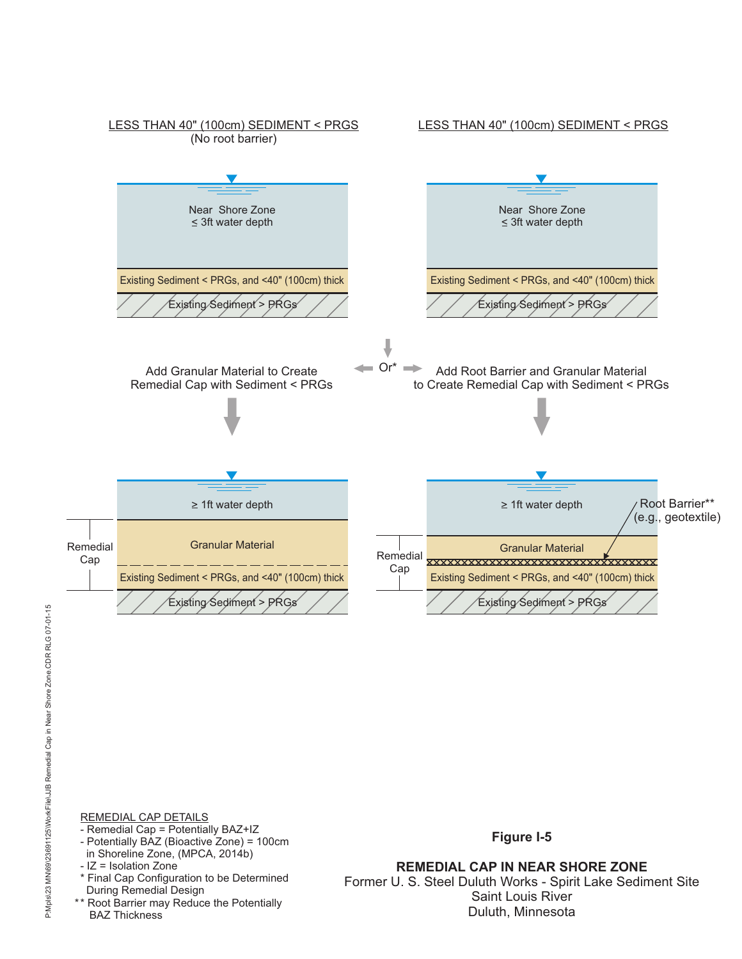

REMEDIAL CAP DETAILS

- Remedial Cap = Potentially BAZ+IZ
- Potentially BAZ (Bioactive Zone) = 100cm in Shoreline Zone, (MPCA, 2014b)
- IZ = Isolation Zone
- \* Final Cap Configuration to be Determined During Remedial Design
- \*\* Root Barrier may Reduce the Potentially BAZ Thickness

**Figure I-5**

**REMEDIAL CAP IN NEAR SHORE ZONE** Former U. S. Steel Duluth Works - Spirit Lake Sediment Site Saint Louis River Duluth, Minnesota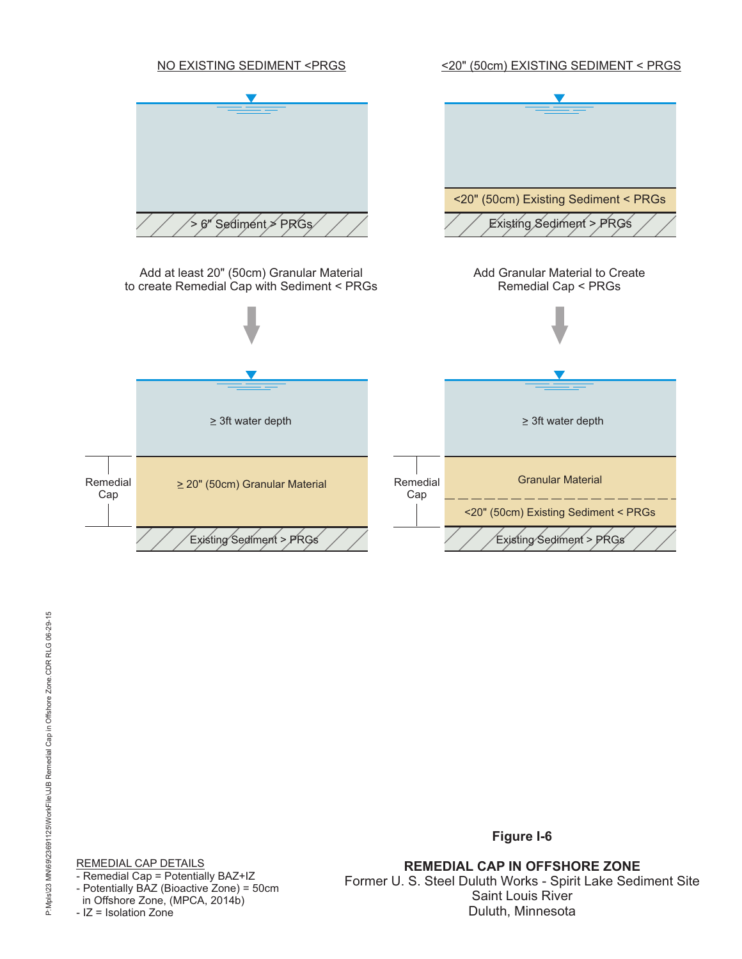

**REMEDIAL CAP IN OFFSHORE ZONE** Former U. S. Steel Duluth Works - Spirit Lake Sediment Site Saint Louis River Duluth, Minnesota

**Figure I-6**

REMEDIAL CAP DETAILS - Remedial Cap = Potentially BAZ+IZ - Potentially BAZ (Bioactive Zone) = 50cm in Offshore Zone, (MPCA, 2014b) - IZ = Isolation Zone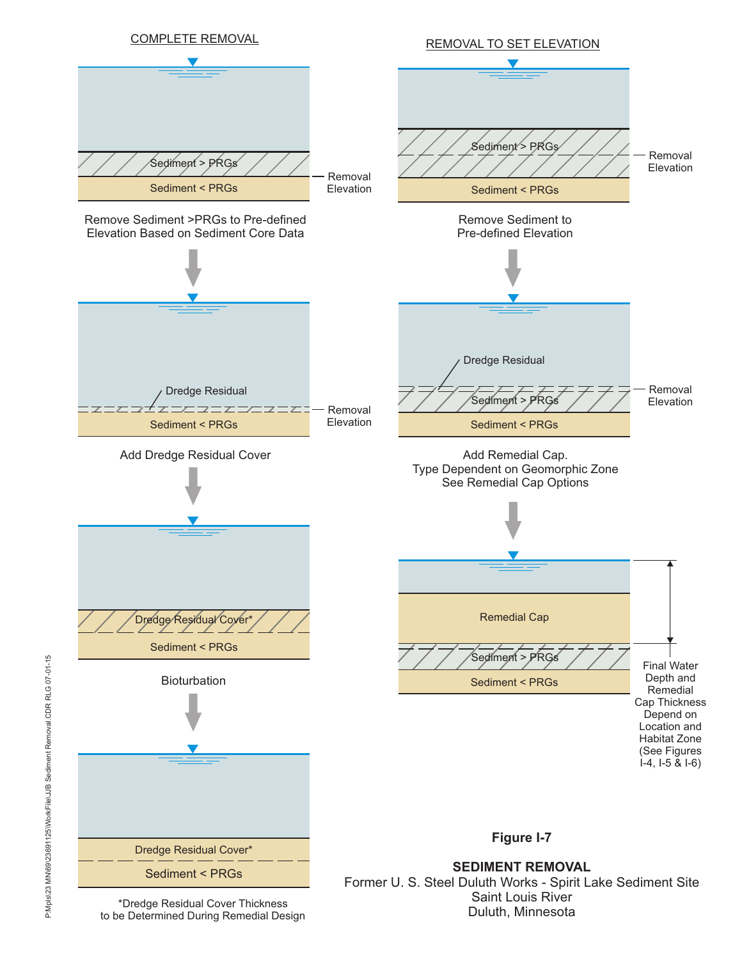

Duluth, Minnesota

\*Dredge Residual Cover Thickness to be Determined During Remedial Design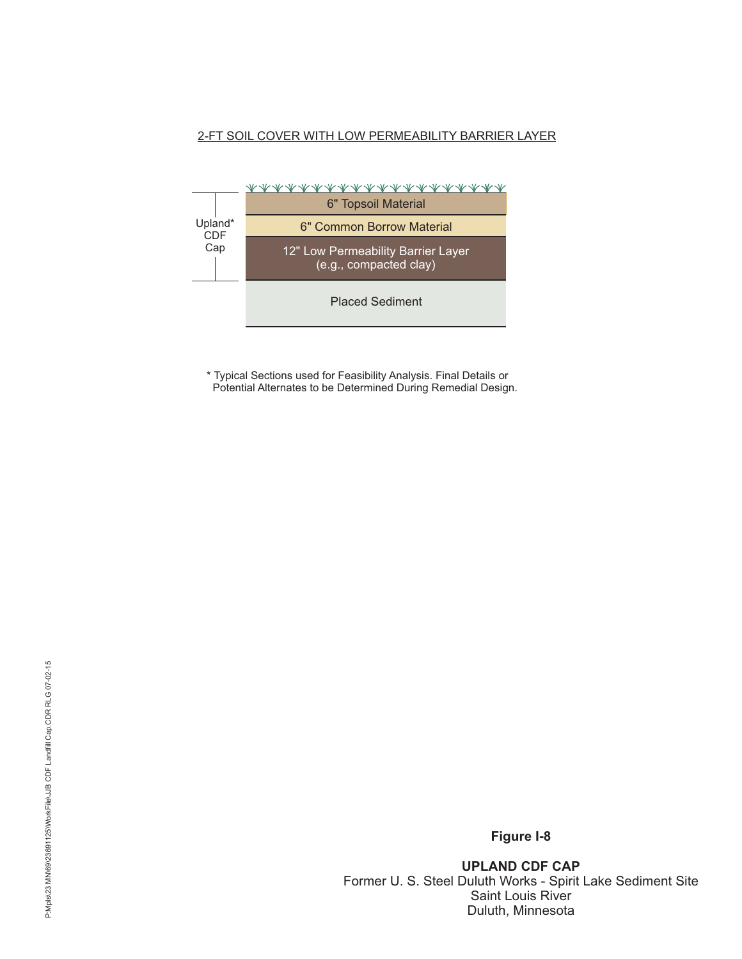# 2-FT SOIL COVER WITH LOW PERMEABILITY BARRIER LAYER



\* Typical Sections used for Feasibility Analysis. Final Details or Potential Alternates to be Determined During Remedial Design.

**Figure I-8**

**UPLAND CDF CAP** Former U. S. Steel Duluth Works - Spirit Lake Sediment Site Saint Louis River Duluth, Minnesota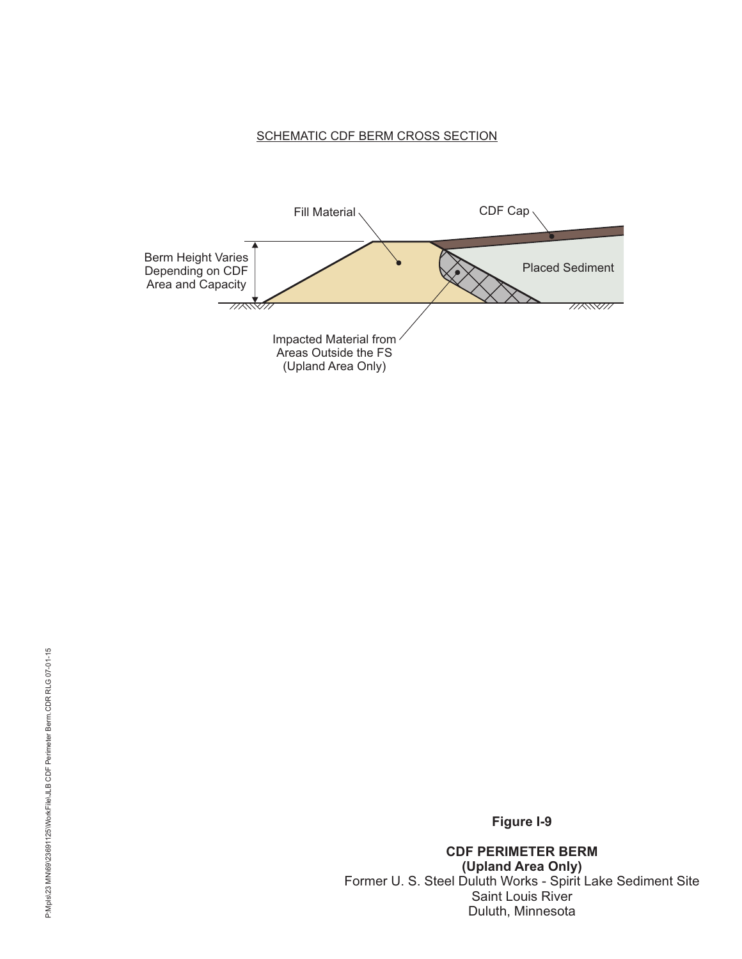# SCHEMATIC CDF BERM CROSS SECTION



**Figure I-9**

**CDF PERIMETER BERM (Upland Area Only)** Former U. S. Steel Duluth Works - Spirit Lake Sediment Site Saint Louis River Duluth, Minnesota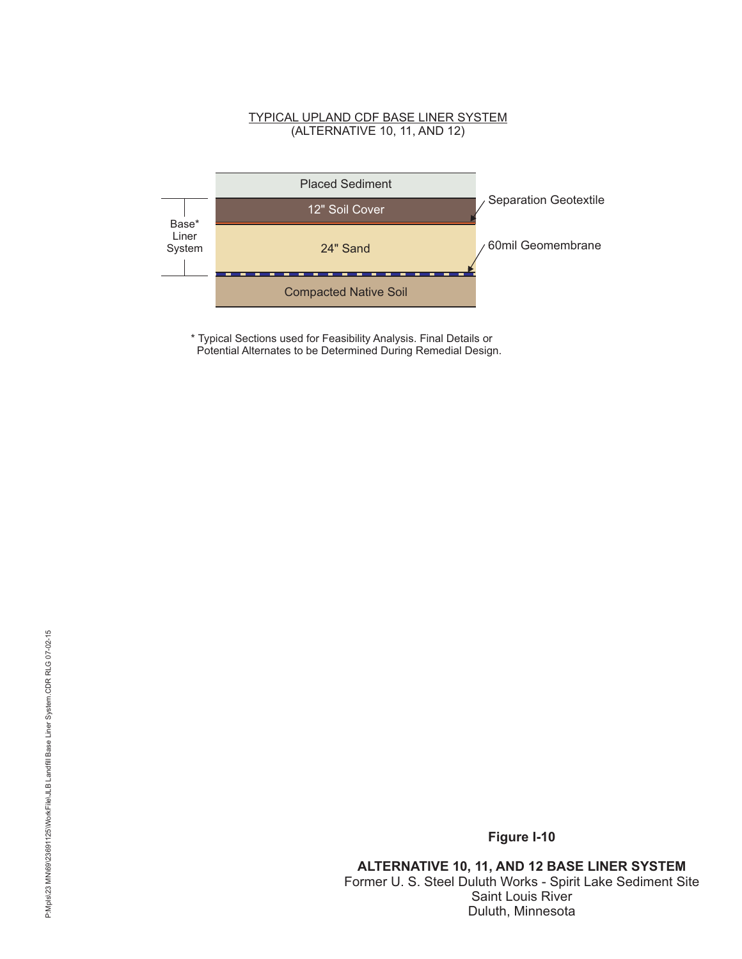### TYPICAL UPLAND CDF BASE LINER SYSTEM (ALTERNATIVE 10, 11, AND 12)



\* Typical Sections used for Feasibility Analysis. Final Details or Potential Alternates to be Determined During Remedial Design.

**ALTERNATIVE 10, 11, AND 12 BASE LINER SYSTEM** Former U. S. Steel Duluth Works - Spirit Lake Sediment Site Saint Louis River Duluth, Minnesota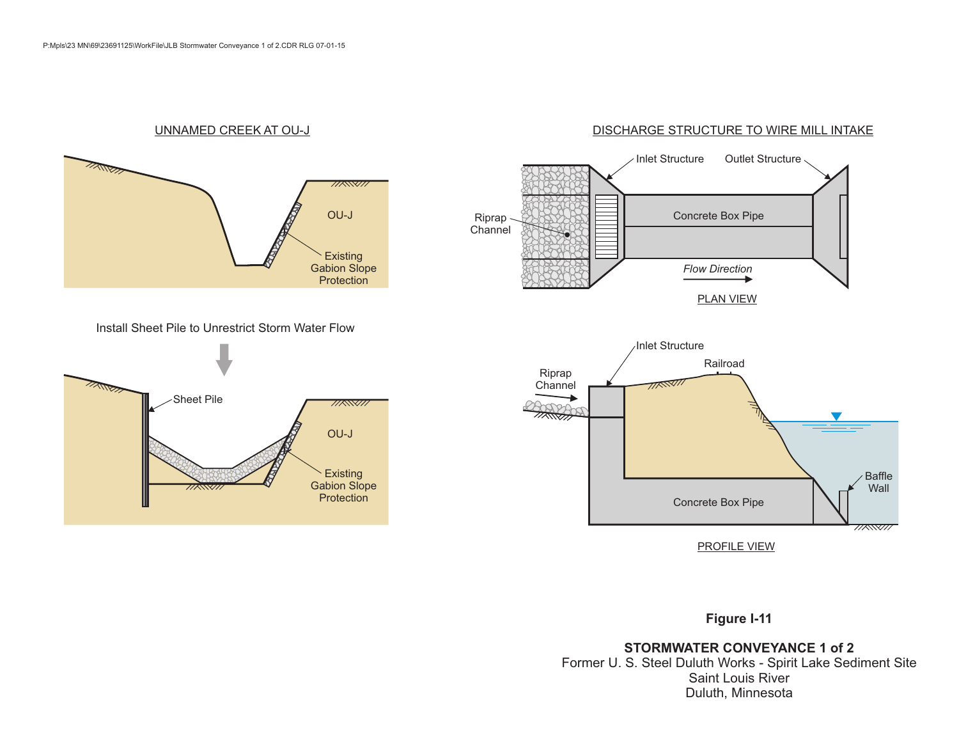#### UNNAMED CREEK AT OU-J



#### Install Sheet Pile to Unrestrict Storm Water Flow





**Figure I-11**

**STORMWATER CONVEYANCE 1 of 2** Former U. S. Steel Duluth Works - Spirit Lake Sediment Site Saint Louis River Duluth, Minnesota

## DISCHARGE STRUCTURE TO WIRE MILL INTAKE

Inlet Structure Outlet Structure

Concrete Box Pipe

*Flow Direction*

PLAN VIEW

Riprap Channel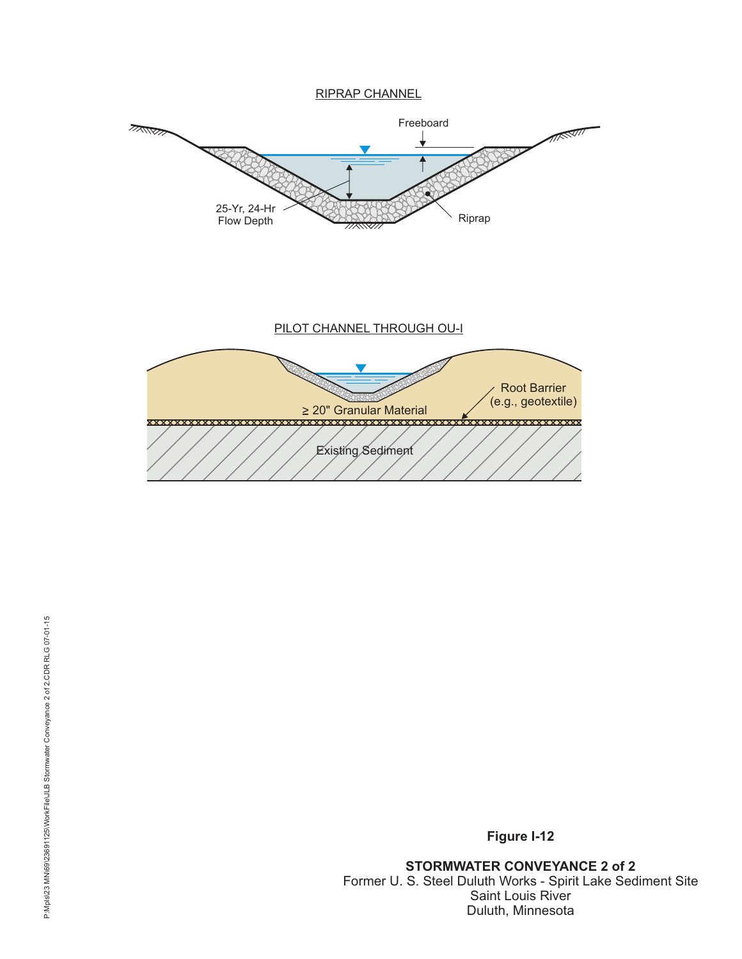RIPRAP CHANNEL



**Figure I-12**

**STORMWATER CONVEYANCE 2 of 2** Former U. S. Steel Duluth Works - Spirit Lake Sediment Site Saint Louis River Duluth, Minnesota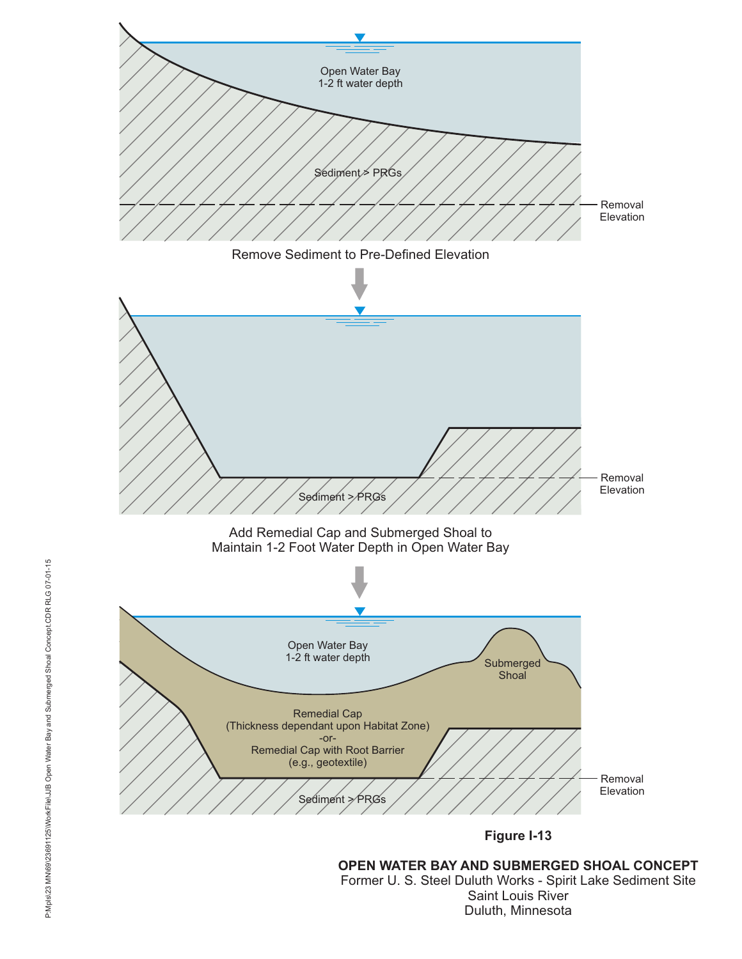

Former U. S. Steel Duluth Works - Spirit Lake Sediment Site Saint Louis River Duluth, Minnesota